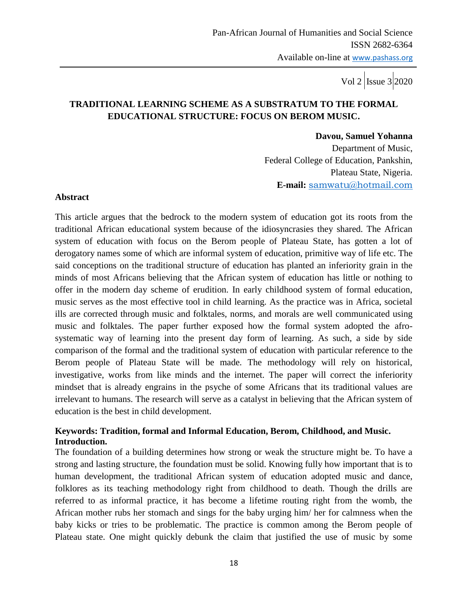# **TRADITIONAL LEARNING SCHEME AS A SUBSTRATUM TO THE FORMAL EDUCATIONAL STRUCTURE: FOCUS ON BEROM MUSIC.**

#### **Davou, Samuel Yohanna**

 Department of Music, Federal College of Education, Pankshin, Plateau State, Nigeria. **E-mail:** [samwatu@hotmail.com](mailto:samwatu@hotmail.com)

#### **Abstract**

This article argues that the bedrock to the modern system of education got its roots from the traditional African educational system because of the idiosyncrasies they shared. The African system of education with focus on the Berom people of Plateau State, has gotten a lot of derogatory names some of which are informal system of education, primitive way of life etc. The said conceptions on the traditional structure of education has planted an inferiority grain in the minds of most Africans believing that the African system of education has little or nothing to offer in the modern day scheme of erudition. In early childhood system of formal education, music serves as the most effective tool in child learning. As the practice was in Africa, societal ills are corrected through music and folktales, norms, and morals are well communicated using music and folktales. The paper further exposed how the formal system adopted the afrosystematic way of learning into the present day form of learning. As such, a side by side comparison of the formal and the traditional system of education with particular reference to the Berom people of Plateau State will be made. The methodology will rely on historical, investigative, works from like minds and the internet. The paper will correct the inferiority mindset that is already engrains in the psyche of some Africans that its traditional values are irrelevant to humans. The research will serve as a catalyst in believing that the African system of education is the best in child development.

# **Keywords: Tradition, formal and Informal Education, Berom, Childhood, and Music. Introduction.**

The foundation of a building determines how strong or weak the structure might be. To have a strong and lasting structure, the foundation must be solid. Knowing fully how important that is to human development, the traditional African system of education adopted music and dance, folklores as its teaching methodology right from childhood to death. Though the drills are referred to as informal practice, it has become a lifetime routing right from the womb, the African mother rubs her stomach and sings for the baby urging him/ her for calmness when the baby kicks or tries to be problematic. The practice is common among the Berom people of Plateau state. One might quickly debunk the claim that justified the use of music by some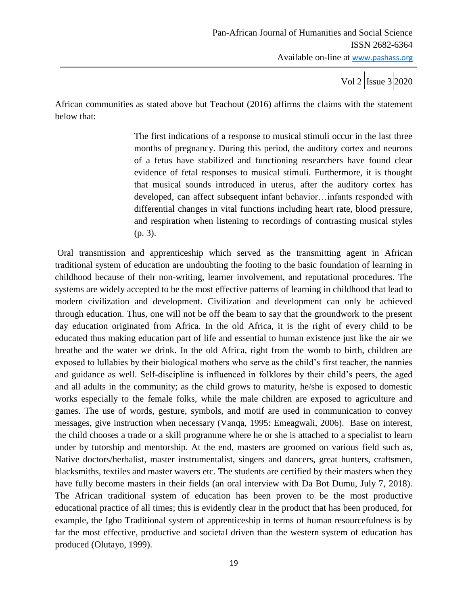African communities as stated above but Teachout (2016) affirms the claims with the statement below that:

> The first indications of a response to musical stimuli occur in the last three months of pregnancy. During this period, the auditory cortex and neurons of a fetus have stabilized and functioning researchers have found clear evidence of fetal responses to musical stimuli. Furthermore, it is thought that musical sounds introduced in uterus, after the auditory cortex has developed, can affect subsequent infant behavior…infants responded with differential changes in vital functions including heart rate, blood pressure, and respiration when listening to recordings of contrasting musical styles (p. 3).

Oral transmission and apprenticeship which served as the transmitting agent in African traditional system of education are undoubting the footing to the basic foundation of learning in childhood because of their non-writing, learner involvement, and reputational procedures. The systems are widely accepted to be the most effective patterns of learning in childhood that lead to modern civilization and development. Civilization and development can only be achieved through education. Thus, one will not be off the beam to say that the groundwork to the present day education originated from Africa. In the old Africa, it is the right of every child to be educated thus making education part of life and essential to human existence just like the air we breathe and the water we drink. In the old Africa, right from the womb to birth, children are exposed to lullabies by their biological mothers who serve as the child"s first teacher, the nannies and guidance as well. Self-discipline is influenced in folklores by their child"s peers, the aged and all adults in the community; as the child grows to maturity, he/she is exposed to domestic works especially to the female folks, while the male children are exposed to agriculture and games. The use of words, gesture, symbols, and motif are used in communication to convey messages, give instruction when necessary (Vanqa, 1995: Emeagwali, 2006). Base on interest, the child chooses a trade or a skill programme where he or she is attached to a specialist to learn under by tutorship and mentorship. At the end, masters are groomed on various field such as, Native doctors/herbalist, master instrumentalist, singers and dancers, great hunters, craftsmen, blacksmiths, textiles and master wavers etc. The students are certified by their masters when they have fully become masters in their fields (an oral interview with Da Bot Dumu, July 7, 2018). The African traditional system of education has been proven to be the most productive educational practice of all times; this is evidently clear in the product that has been produced, for example, the Igbo Traditional system of apprenticeship in terms of human resourcefulness is by far the most effective, productive and societal driven than the western system of education has produced (Olutayo, 1999).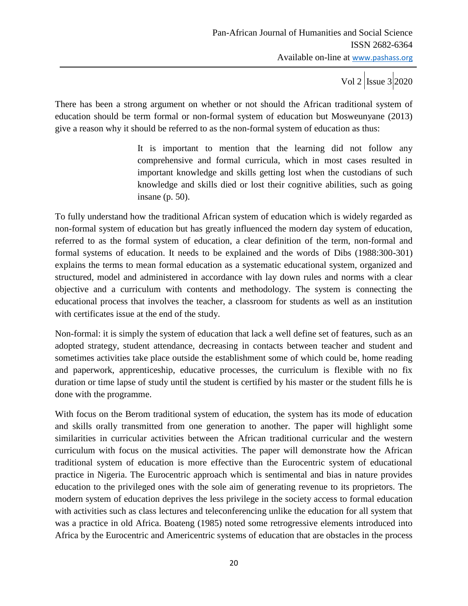There has been a strong argument on whether or not should the African traditional system of education should be term formal or non-formal system of education but Mosweunyane (2013) give a reason why it should be referred to as the non-formal system of education as thus:

> It is important to mention that the learning did not follow any comprehensive and formal curricula, which in most cases resulted in important knowledge and skills getting lost when the custodians of such knowledge and skills died or lost their cognitive abilities, such as going insane (p. 50).

To fully understand how the traditional African system of education which is widely regarded as non-formal system of education but has greatly influenced the modern day system of education, referred to as the formal system of education, a clear definition of the term, non-formal and formal systems of education. It needs to be explained and the words of Dibs (1988:300-301) explains the terms to mean formal education as a systematic educational system, organized and structured, model and administered in accordance with lay down rules and norms with a clear objective and a curriculum with contents and methodology. The system is connecting the educational process that involves the teacher, a classroom for students as well as an institution with certificates issue at the end of the study.

Non-formal: it is simply the system of education that lack a well define set of features, such as an adopted strategy, student attendance, decreasing in contacts between teacher and student and sometimes activities take place outside the establishment some of which could be, home reading and paperwork, apprenticeship, educative processes, the curriculum is flexible with no fix duration or time lapse of study until the student is certified by his master or the student fills he is done with the programme.

With focus on the Berom traditional system of education, the system has its mode of education and skills orally transmitted from one generation to another. The paper will highlight some similarities in curricular activities between the African traditional curricular and the western curriculum with focus on the musical activities. The paper will demonstrate how the African traditional system of education is more effective than the Eurocentric system of educational practice in Nigeria. The Eurocentric approach which is sentimental and bias in nature provides education to the privileged ones with the sole aim of generating revenue to its proprietors. The modern system of education deprives the less privilege in the society access to formal education with activities such as class lectures and teleconferencing unlike the education for all system that was a practice in old Africa. Boateng (1985) noted some retrogressive elements introduced into Africa by the Eurocentric and Americentric systems of education that are obstacles in the process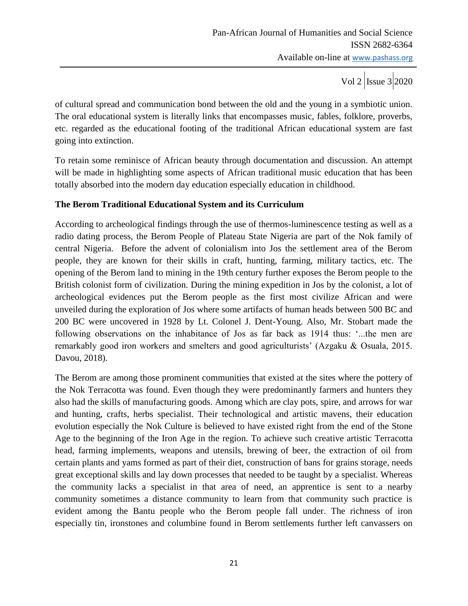of cultural spread and communication bond between the old and the young in a symbiotic union. The oral educational system is literally links that encompasses music, fables, folklore, proverbs, etc. regarded as the educational footing of the traditional African educational system are fast going into extinction.

To retain some reminisce of African beauty through documentation and discussion. An attempt will be made in highlighting some aspects of African traditional music education that has been totally absorbed into the modern day education especially education in childhood.

# **The Berom Traditional Educational System and its Curriculum**

According to archeological findings through the use of thermos-luminescence testing as well as a radio dating process, the Berom People of Plateau State Nigeria are part of the Nok family of central Nigeria. Before the advent of colonialism into Jos the settlement area of the Berom people, they are known for their skills in craft, hunting, farming, military tactics, etc. The opening of the Berom land to mining in the 19th century further exposes the Berom people to the British colonist form of civilization. During the mining expedition in Jos by the colonist, a lot of archeological evidences put the Berom people as the first most civilize African and were unveiled during the exploration of Jos where some artifacts of human heads between 500 BC and 200 BC were uncovered in 1928 by Lt. Colonel J. Dent-Young. Also, Mr. Stobart made the following observations on the inhabitance of Jos as far back as 1914 thus: "...the men are remarkably good iron workers and smelters and good agriculturists" (Azgaku & Osuala, 2015. Davou, 2018).

The Berom are among those prominent communities that existed at the sites where the pottery of the Nok Terracotta was found. Even though they were predominantly farmers and hunters they also had the skills of manufacturing goods. Among which are clay pots, spire, and arrows for war and hunting, crafts, herbs specialist. Their technological and artistic mavens, their education evolution especially the Nok Culture is believed to have existed right from the end of the Stone Age to the beginning of the Iron Age in the region. To achieve such creative artistic Terracotta head, farming implements, weapons and utensils, brewing of beer, the extraction of oil from certain plants and yams formed as part of their diet, construction of bans for grains storage, needs great exceptional skills and lay down processes that needed to be taught by a specialist. Whereas the community lacks a specialist in that area of need, an apprentice is sent to a nearby community sometimes a distance community to learn from that community such practice is evident among the Bantu people who the Berom people fall under. The richness of iron especially tin, ironstones and columbine found in Berom settlements further left canvassers on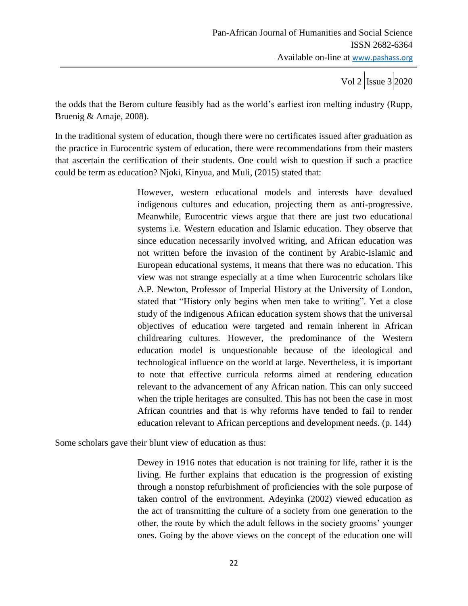the odds that the Berom culture feasibly had as the world"s earliest iron melting industry (Rupp, Bruenig & Amaje, 2008).

In the traditional system of education, though there were no certificates issued after graduation as the practice in Eurocentric system of education, there were recommendations from their masters that ascertain the certification of their students. One could wish to question if such a practice could be term as education? Njoki, Kinyua, and Muli, (2015) stated that:

> However, western educational models and interests have devalued indigenous cultures and education, projecting them as anti-progressive. Meanwhile, Eurocentric views argue that there are just two educational systems i.e. Western education and Islamic education. They observe that since education necessarily involved writing, and African education was not written before the invasion of the continent by Arabic-Islamic and European educational systems, it means that there was no education. This view was not strange especially at a time when Eurocentric scholars like A.P. Newton, Professor of Imperial History at the University of London, stated that "History only begins when men take to writing". Yet a close study of the indigenous African education system shows that the universal objectives of education were targeted and remain inherent in African childrearing cultures. However, the predominance of the Western education model is unquestionable because of the ideological and technological influence on the world at large. Nevertheless, it is important to note that effective curricula reforms aimed at rendering education relevant to the advancement of any African nation. This can only succeed when the triple heritages are consulted. This has not been the case in most African countries and that is why reforms have tended to fail to render education relevant to African perceptions and development needs. (p. 144)

Some scholars gave their blunt view of education as thus:

Dewey in 1916 notes that education is not training for life, rather it is the living. He further explains that education is the progression of existing through a nonstop refurbishment of proficiencies with the sole purpose of taken control of the environment. Adeyinka (2002) viewed education as the act of transmitting the culture of a society from one generation to the other, the route by which the adult fellows in the society grooms" younger ones. Going by the above views on the concept of the education one will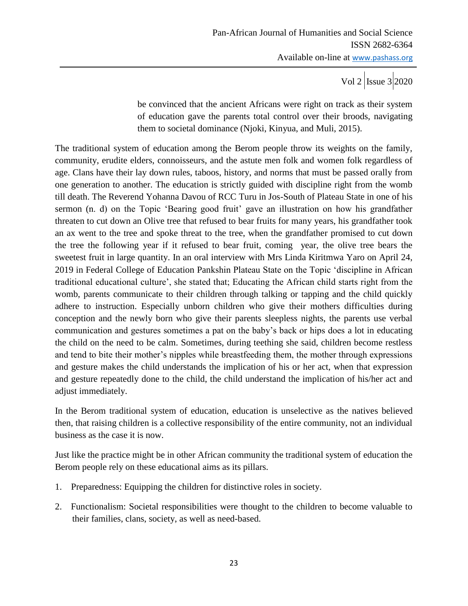be convinced that the ancient Africans were right on track as their system of education gave the parents total control over their broods, navigating them to societal dominance (Njoki, Kinyua, and Muli, 2015).

The traditional system of education among the Berom people throw its weights on the family, community, erudite elders, connoisseurs, and the astute men folk and women folk regardless of age. Clans have their lay down rules, taboos, history, and norms that must be passed orally from one generation to another. The education is strictly guided with discipline right from the womb till death. The Reverend Yohanna Davou of RCC Turu in Jos-South of Plateau State in one of his sermon (n. d) on the Topic 'Bearing good fruit' gave an illustration on how his grandfather threaten to cut down an Olive tree that refused to bear fruits for many years, his grandfather took an ax went to the tree and spoke threat to the tree, when the grandfather promised to cut down the tree the following year if it refused to bear fruit, coming year, the olive tree bears the sweetest fruit in large quantity. In an oral interview with Mrs Linda Kiritmwa Yaro on April 24, 2019 in Federal College of Education Pankshin Plateau State on the Topic "discipline in African traditional educational culture", she stated that; Educating the African child starts right from the womb, parents communicate to their children through talking or tapping and the child quickly adhere to instruction. Especially unborn children who give their mothers difficulties during conception and the newly born who give their parents sleepless nights, the parents use verbal communication and gestures sometimes a pat on the baby"s back or hips does a lot in educating the child on the need to be calm. Sometimes, during teething she said, children become restless and tend to bite their mother"s nipples while breastfeeding them, the mother through expressions and gesture makes the child understands the implication of his or her act, when that expression and gesture repeatedly done to the child, the child understand the implication of his/her act and adjust immediately.

In the Berom traditional system of education, education is unselective as the natives believed then, that raising children is a collective responsibility of the entire community, not an individual business as the case it is now.

Just like the practice might be in other African community the traditional system of education the Berom people rely on these educational aims as its pillars.

- 1. Preparedness: Equipping the children for distinctive roles in society.
- 2. Functionalism: Societal responsibilities were thought to the children to become valuable to their families, clans, society, as well as need-based.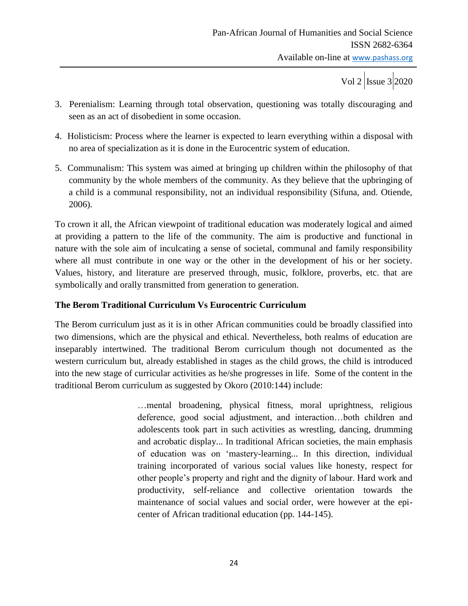- 3. Perenialism: Learning through total observation, questioning was totally discouraging and seen as an act of disobedient in some occasion.
- 4. Holisticism: Process where the learner is expected to learn everything within a disposal with no area of specialization as it is done in the Eurocentric system of education.
- 5. Communalism: This system was aimed at bringing up children within the philosophy of that community by the whole members of the community. As they believe that the upbringing of a child is a communal responsibility, not an individual responsibility (Sifuna, and. Otiende, 2006).

To crown it all, the African viewpoint of traditional education was moderately logical and aimed at providing a pattern to the life of the community. The aim is productive and functional in nature with the sole aim of inculcating a sense of societal, communal and family responsibility where all must contribute in one way or the other in the development of his or her society. Values, history, and literature are preserved through, music, folklore, proverbs, etc. that are symbolically and orally transmitted from generation to generation.

### **The Berom Traditional Curriculum Vs Eurocentric Curriculum**

The Berom curriculum just as it is in other African communities could be broadly classified into two dimensions, which are the physical and ethical. Nevertheless, both realms of education are inseparably intertwined. The traditional Berom curriculum though not documented as the western curriculum but, already established in stages as the child grows, the child is introduced into the new stage of curricular activities as he/she progresses in life. Some of the content in the traditional Berom curriculum as suggested by Okoro (2010:144) include:

> …mental broadening, physical fitness, moral uprightness, religious deference, good social adjustment, and interaction…both children and adolescents took part in such activities as wrestling, dancing, drumming and acrobatic display... In traditional African societies, the main emphasis of education was on "mastery-learning... In this direction, individual training incorporated of various social values like honesty, respect for other people"s property and right and the dignity of labour. Hard work and productivity, self-reliance and collective orientation towards the maintenance of social values and social order, were however at the epicenter of African traditional education (pp. 144-145).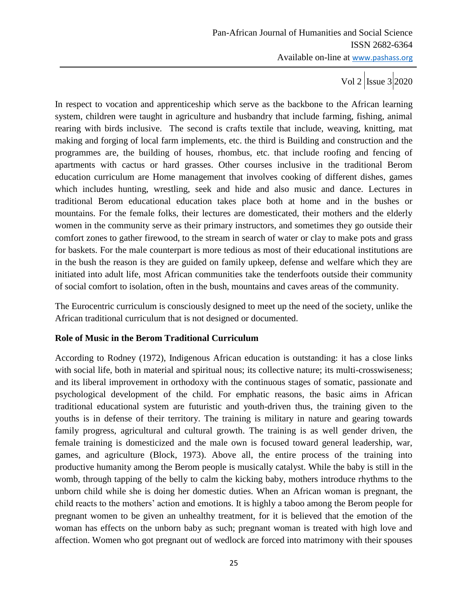In respect to vocation and apprenticeship which serve as the backbone to the African learning system, children were taught in agriculture and husbandry that include farming, fishing, animal rearing with birds inclusive. The second is crafts textile that include, weaving, knitting, mat making and forging of local farm implements, etc. the third is Building and construction and the programmes are, the building of houses, rhombus, etc. that include roofing and fencing of apartments with cactus or hard grasses. Other courses inclusive in the traditional Berom education curriculum are Home management that involves cooking of different dishes, games which includes hunting, wrestling, seek and hide and also music and dance. Lectures in traditional Berom educational education takes place both at home and in the bushes or mountains. For the female folks, their lectures are domesticated, their mothers and the elderly women in the community serve as their primary instructors, and sometimes they go outside their comfort zones to gather firewood, to the stream in search of water or clay to make pots and grass for baskets. For the male counterpart is more tedious as most of their educational institutions are in the bush the reason is they are guided on family upkeep, defense and welfare which they are initiated into adult life, most African communities take the tenderfoots outside their community of social comfort to isolation, often in the bush, mountains and caves areas of the community.

The Eurocentric curriculum is consciously designed to meet up the need of the society, unlike the African traditional curriculum that is not designed or documented.

### **Role of Music in the Berom Traditional Curriculum**

According to Rodney (1972), Indigenous African education is outstanding: it has a close links with social life, both in material and spiritual nous; its collective nature; its multi-crosswiseness; and its liberal improvement in orthodoxy with the continuous stages of somatic, passionate and psychological development of the child. For emphatic reasons, the basic aims in African traditional educational system are futuristic and youth-driven thus, the training given to the youths is in defense of their territory. The training is military in nature and gearing towards family progress, agricultural and cultural growth. The training is as well gender driven, the female training is domesticized and the male own is focused toward general leadership, war, games, and agriculture (Block, 1973). Above all, the entire process of the training into productive humanity among the Berom people is musically catalyst. While the baby is still in the womb, through tapping of the belly to calm the kicking baby, mothers introduce rhythms to the unborn child while she is doing her domestic duties. When an African woman is pregnant, the child reacts to the mothers" action and emotions. It is highly a taboo among the Berom people for pregnant women to be given an unhealthy treatment, for it is believed that the emotion of the woman has effects on the unborn baby as such; pregnant woman is treated with high love and affection. Women who got pregnant out of wedlock are forced into matrimony with their spouses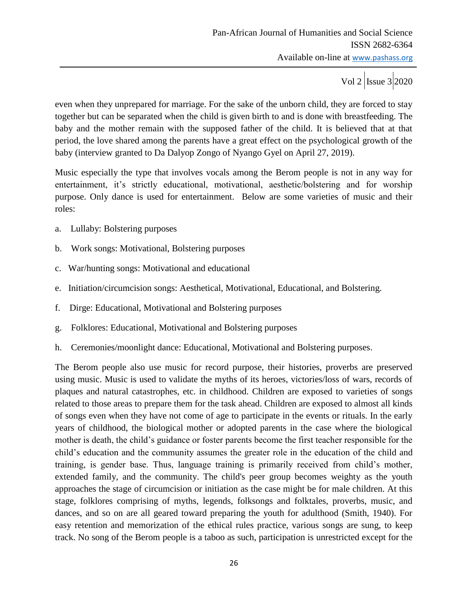even when they unprepared for marriage. For the sake of the unborn child, they are forced to stay together but can be separated when the child is given birth to and is done with breastfeeding. The baby and the mother remain with the supposed father of the child. It is believed that at that period, the love shared among the parents have a great effect on the psychological growth of the baby (interview granted to Da Dalyop Zongo of Nyango Gyel on April 27, 2019).

Music especially the type that involves vocals among the Berom people is not in any way for entertainment, it's strictly educational, motivational, aesthetic/bolstering and for worship purpose. Only dance is used for entertainment. Below are some varieties of music and their roles:

- a. Lullaby: Bolstering purposes
- b. Work songs: Motivational, Bolstering purposes
- c. War/hunting songs: Motivational and educational
- e. Initiation/circumcision songs: Aesthetical, Motivational, Educational, and Bolstering.
- f. Dirge: Educational, Motivational and Bolstering purposes
- g. Folklores: Educational, Motivational and Bolstering purposes
- h. Ceremonies/moonlight dance: Educational, Motivational and Bolstering purposes.

The Berom people also use music for record purpose, their histories, proverbs are preserved using music. Music is used to validate the myths of its heroes, victories/loss of wars, records of plaques and natural catastrophes, etc. in childhood. Children are exposed to varieties of songs related to those areas to prepare them for the task ahead. Children are exposed to almost all kinds of songs even when they have not come of age to participate in the events or rituals. In the early years of childhood, the biological mother or adopted parents in the case where the biological mother is death, the child"s guidance or foster parents become the first teacher responsible for the child"s education and the community assumes the greater role in the education of the child and training, is gender base. Thus, language training is primarily received from child"s mother, extended family, and the community. The child's peer group becomes weighty as the youth approaches the stage of circumcision or initiation as the case might be for male children. At this stage, folklores comprising of myths, legends, folksongs and folktales, proverbs, music, and dances, and so on are all geared toward preparing the youth for adulthood (Smith, 1940). For easy retention and memorization of the ethical rules practice, various songs are sung, to keep track. No song of the Berom people is a taboo as such, participation is unrestricted except for the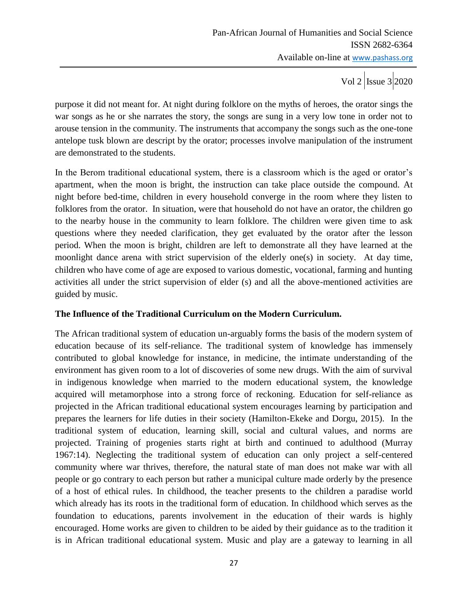purpose it did not meant for. At night during folklore on the myths of heroes, the orator sings the war songs as he or she narrates the story, the songs are sung in a very low tone in order not to arouse tension in the community. The instruments that accompany the songs such as the one-tone antelope tusk blown are descript by the orator; processes involve manipulation of the instrument are demonstrated to the students.

In the Berom traditional educational system, there is a classroom which is the aged or orator's apartment, when the moon is bright, the instruction can take place outside the compound. At night before bed-time, children in every household converge in the room where they listen to folklores from the orator. In situation, were that household do not have an orator, the children go to the nearby house in the community to learn folklore. The children were given time to ask questions where they needed clarification, they get evaluated by the orator after the lesson period. When the moon is bright, children are left to demonstrate all they have learned at the moonlight dance arena with strict supervision of the elderly one(s) in society. At day time, children who have come of age are exposed to various domestic, vocational, farming and hunting activities all under the strict supervision of elder (s) and all the above-mentioned activities are guided by music.

### **The Influence of the Traditional Curriculum on the Modern Curriculum.**

The African traditional system of education un-arguably forms the basis of the modern system of education because of its self-reliance. The traditional system of knowledge has immensely contributed to global knowledge for instance, in medicine, the intimate understanding of the environment has given room to a lot of discoveries of some new drugs. With the aim of survival in indigenous knowledge when married to the modern educational system, the knowledge acquired will metamorphose into a strong force of reckoning. Education for self-reliance as projected in the African traditional educational system encourages learning by participation and prepares the learners for life duties in their society (Hamilton-Ekeke and Dorgu, 2015). In the traditional system of education, learning skill, social and cultural values, and norms are projected. Training of progenies starts right at birth and continued to adulthood (Murray 1967:14). Neglecting the traditional system of education can only project a self-centered community where war thrives, therefore, the natural state of man does not make war with all people or go contrary to each person but rather a municipal culture made orderly by the presence of a host of ethical rules. In childhood, the teacher presents to the children a paradise world which already has its roots in the traditional form of education. In childhood which serves as the foundation to educations, parents involvement in the education of their wards is highly encouraged. Home works are given to children to be aided by their guidance as to the tradition it is in African traditional educational system. Music and play are a gateway to learning in all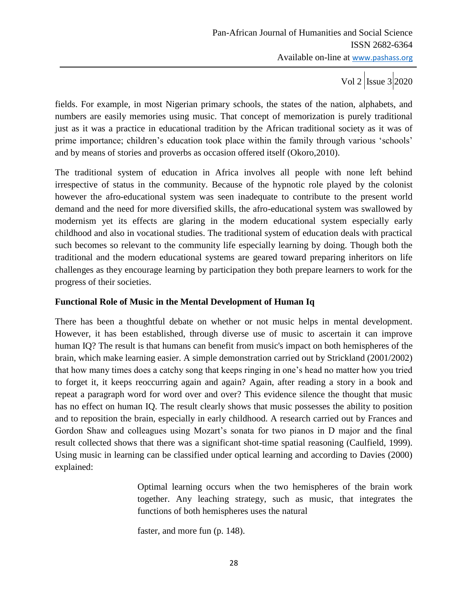fields. For example, in most Nigerian primary schools, the states of the nation, alphabets, and numbers are easily memories using music. That concept of memorization is purely traditional just as it was a practice in educational tradition by the African traditional society as it was of prime importance; children's education took place within the family through various 'schools' and by means of stories and proverbs as occasion offered itself (Okoro,2010).

The traditional system of education in Africa involves all people with none left behind irrespective of status in the community. Because of the hypnotic role played by the colonist however the afro-educational system was seen inadequate to contribute to the present world demand and the need for more diversified skills, the afro-educational system was swallowed by modernism yet its effects are glaring in the modern educational system especially early childhood and also in vocational studies. The traditional system of education deals with practical such becomes so relevant to the community life especially learning by doing. Though both the traditional and the modern educational systems are geared toward preparing inheritors on life challenges as they encourage learning by participation they both prepare learners to work for the progress of their societies.

### **Functional Role of Music in the Mental Development of Human Iq**

There has been a thoughtful debate on whether or not music helps in mental development. However, it has been established, through diverse use of music to ascertain it can improve human IQ? The result is that humans can benefit from music's impact on both hemispheres of the brain, which make learning easier. A simple demonstration carried out by Strickland (2001/2002) that how many times does a catchy song that keeps ringing in one"s head no matter how you tried to forget it, it keeps reoccurring again and again? Again, after reading a story in a book and repeat a paragraph word for word over and over? This evidence silence the thought that music has no effect on human IQ. The result clearly shows that music possesses the ability to position and to reposition the brain, especially in early childhood. A research carried out by Frances and Gordon Shaw and colleagues using Mozart"s sonata for two pianos in D major and the final result collected shows that there was a significant shot-time spatial reasoning (Caulfield, 1999). Using music in learning can be classified under optical learning and according to Davies (2000) explained:

> Optimal learning occurs when the two hemispheres of the brain work together. Any leaching strategy, such as music, that integrates the functions of both hemispheres uses the natural

faster, and more fun (p. 148).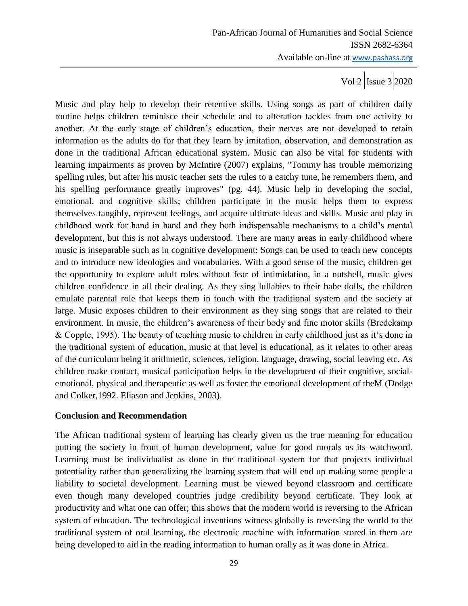Music and play help to develop their retentive skills. Using songs as part of children daily routine helps children reminisce their schedule and to alteration tackles from one activity to another. At the early stage of children"s education, their nerves are not developed to retain information as the adults do for that they learn by imitation, observation, and demonstration as done in the traditional African educational system. Music can also be vital for students with learning impairments as proven by McIntire (2007) explains, "Tommy has trouble memorizing spelling rules, but after his music teacher sets the rules to a catchy tune, he remembers them, and his spelling performance greatly improves" (pg. 44). Music help in developing the social, emotional, and cognitive skills; children participate in the music helps them to express themselves tangibly, represent feelings, and acquire ultimate ideas and skills. Music and play in childhood work for hand in hand and they both indispensable mechanisms to a child"s mental development, but this is not always understood. There are many areas in early childhood where music is inseparable such as in cognitive development: Songs can be used to teach new concepts and to introduce new ideologies and vocabularies. With a good sense of the music, children get the opportunity to explore adult roles without fear of intimidation, in a nutshell, music gives children confidence in all their dealing. As they sing lullabies to their babe dolls, the children emulate parental role that keeps them in touch with the traditional system and the society at large. Music exposes children to their environment as they sing songs that are related to their environment. In music, the children"s awareness of their body and fine motor skills (Bredekamp & Copple, 1995). The beauty of teaching music to children in early childhood just as it"s done in the traditional system of education, music at that level is educational, as it relates to other areas of the curriculum being it arithmetic, sciences, religion, language, drawing, social leaving etc. As children make contact, musical participation helps in the development of their cognitive, socialemotional, physical and therapeutic as well as foster the emotional development of theM (Dodge and Colker,1992. Eliason and Jenkins, 2003).

### **Conclusion and Recommendation**

The African traditional system of learning has clearly given us the true meaning for education putting the society in front of human development, value for good morals as its watchword. Learning must be individualist as done in the traditional system for that projects individual potentiality rather than generalizing the learning system that will end up making some people a liability to societal development. Learning must be viewed beyond classroom and certificate even though many developed countries judge credibility beyond certificate. They look at productivity and what one can offer; this shows that the modern world is reversing to the African system of education. The technological inventions witness globally is reversing the world to the traditional system of oral learning, the electronic machine with information stored in them are being developed to aid in the reading information to human orally as it was done in Africa.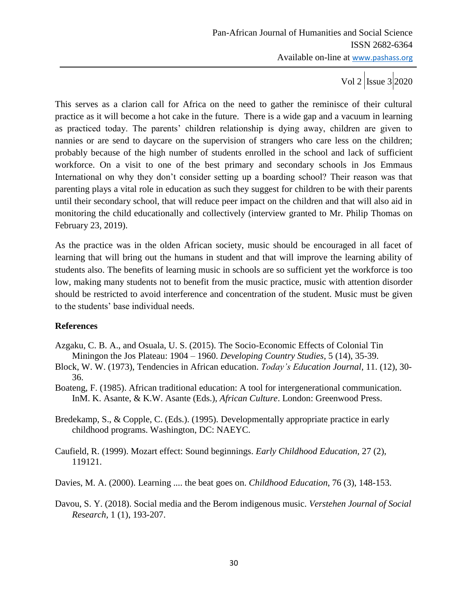This serves as a clarion call for Africa on the need to gather the reminisce of their cultural practice as it will become a hot cake in the future. There is a wide gap and a vacuum in learning as practiced today. The parents" children relationship is dying away, children are given to nannies or are send to daycare on the supervision of strangers who care less on the children; probably because of the high number of students enrolled in the school and lack of sufficient workforce. On a visit to one of the best primary and secondary schools in Jos Emmaus International on why they don't consider setting up a boarding school? Their reason was that parenting plays a vital role in education as such they suggest for children to be with their parents until their secondary school, that will reduce peer impact on the children and that will also aid in monitoring the child educationally and collectively (interview granted to Mr. Philip Thomas on February 23, 2019).

As the practice was in the olden African society, music should be encouraged in all facet of learning that will bring out the humans in student and that will improve the learning ability of students also. The benefits of learning music in schools are so sufficient yet the workforce is too low, making many students not to benefit from the music practice, music with attention disorder should be restricted to avoid interference and concentration of the student. Music must be given to the students" base individual needs.

### **References**

- Azgaku, C. B. A., and Osuala, U. S. (2015). The Socio-Economic Effects of Colonial Tin Miningon the Jos Plateau: 1904 – 1960. *Developing Country Studies*, 5 (14), 35-39.
- Block, W. W. (1973), Tendencies in African education. *Today's Education Journal*, 11. (12), 30- 36.
- Boateng, F. (1985). African traditional education: A tool for intergenerational communication. InM. K. Asante, & K.W. Asante (Eds.), *African Culture*. London: Greenwood Press.
- Bredekamp, S., & Copple, C. (Eds.). (1995). Developmentally appropriate practice in early childhood programs. Washington, DC: NAEYC.
- Caufield, R. (1999). Mozart effect: Sound beginnings. *Early Childhood Education,* 27 (2), 119121.
- Davies, M. A. (2000). Learning .... the beat goes on. *Childhood Education*, 76 (3), 148-153.
- Davou, S. Y. (2018). Social media and the Berom indigenous music. *Verstehen Journal of Social Research,* 1 (1), 193-207.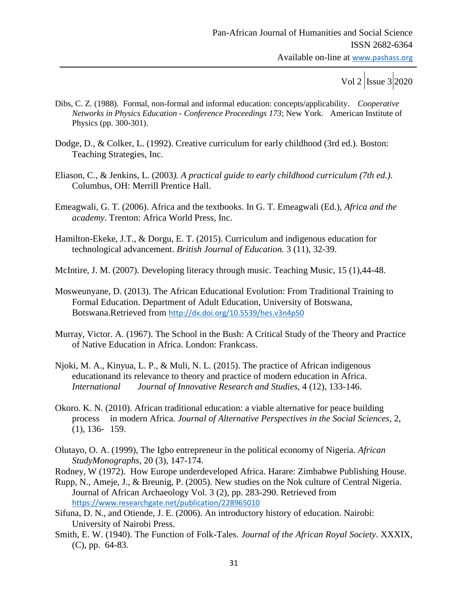- Dibs, C. Z. (1988). Formal, non-formal and informal education: concepts/applicability. *Cooperative Networks in Physics Education - Conference Proceedings 173*; New York. American Institute of Physics (pp. 300-301).
- Dodge, D., & Colker, L. (1992). Creative curriculum for early childhood (3rd ed.). Boston: Teaching Strategies, Inc.
- Eliason, C., & Jenkins, L. (2003*). A practical guide to early childhood curriculum (7th ed.)*. Columbus, OH: Merrill Prentice Hall.
- Emeagwali, G. T. (2006). Africa and the textbooks. In G. T. Emeagwali (Ed.), *Africa and the academy*. Trenton: Africa World Press, Inc.
- Hamilton-Ekeke, J.T., & Dorgu, E. T. (2015). Curriculum and indigenous education for technological advancement. *British Journal of Education.* 3 (11), 32-39.
- McIntire, J. M. (2007). Developing literacy through music. Teaching Music, 15 (1),44-48.
- Mosweunyane, D. (2013). The African Educational Evolution: From Traditional Training to Formal Education. Department of Adult Education, University of Botswana, Botswana.Retrieved from <http://dx.doi.org/10.5539/hes.v3n4p50>
- Murray, Victor. A. (1967). The School in the Bush: A Critical Study of the Theory and Practice of Native Education in Africa. London: Frankcass.
- Njoki, M. A., Kinyua, L. P., & Muli, N. L. (2015). The practice of African indigenous educationand its relevance to theory and practice of modern education in Africa. *International Journal of Innovative Research and Studies,* 4 (12), 133-146.
- Okoro. K. N. (2010). African traditional education: a viable alternative for peace building process in modern Africa. *Journal of Alternative Perspectives in the Social Sciences*, 2, (1), 136- 159.
- Olutayo, O. A. (1999), The Igbo entrepreneur in the political economy of Nigeria. *African StudyMonographs*, 20 (3), 147-174.

Rodney, W (1972). How Europe underdeveloped Africa. Harare: Zimbabwe Publishing House.

- Rupp, N., Ameje, J., & Breunig, P. (2005). New studies on the Nok culture of Central Nigeria. Journal of African Archaeology Vol. 3 (2), pp. 283-290. Retrieved from <https://www.researchgate.net/publication/228965010>
- Sifuna, D. N., and Otiende, J. E. (2006). An introductory history of education. Nairobi: University of Nairobi Press.
- Smith, E. W. (1940). The Function of Folk-Tales. *Journal of the African Royal Society*. XXXIX, (C), pp. 64-83.